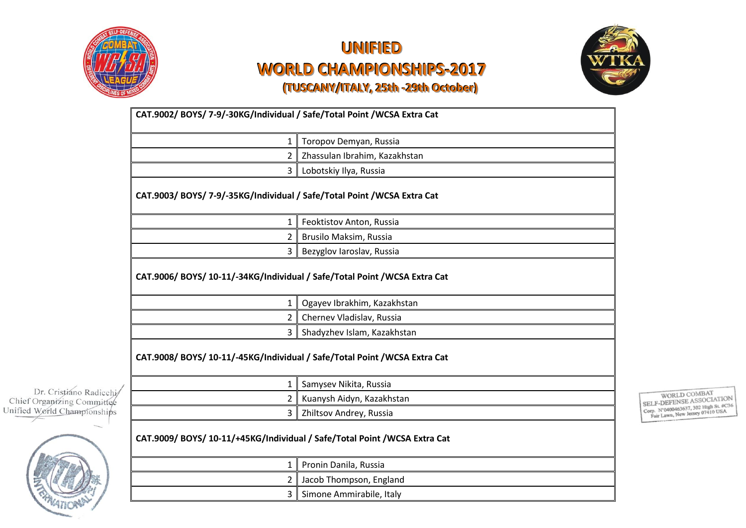



|                             | CAT.9002/BOYS/7-9/-30KG/Individual / Safe/Total Point /WCSA Extra Cat      |                               |  |
|-----------------------------|----------------------------------------------------------------------------|-------------------------------|--|
|                             | 1                                                                          | Toropov Demyan, Russia        |  |
|                             | $\overline{2}$                                                             | Zhassulan Ibrahim, Kazakhstan |  |
|                             | 3                                                                          | Lobotskiy Ilya, Russia        |  |
|                             | CAT.9003/ BOYS/ 7-9/-35KG/Individual / Safe/Total Point / WCSA Extra Cat   |                               |  |
|                             | $\mathbf{1}$                                                               | Feoktistov Anton, Russia      |  |
|                             |                                                                            | Brusilo Maksim, Russia        |  |
|                             | 3                                                                          | Bezyglov Iaroslav, Russia     |  |
|                             | CAT.9006/BOYS/10-11/-34KG/Individual / Safe/Total Point / WCSA Extra Cat   |                               |  |
|                             | $\mathbf{1}$                                                               | Ogayev Ibrakhim, Kazakhstan   |  |
|                             | $\overline{2}$                                                             | Chernev Vladislav, Russia     |  |
|                             | $\mathbf{3}$                                                               | Shadyzhev Islam, Kazakhstan   |  |
| Dr. Cristiáno Radicchi/     | CAT.9008/BOYS/10-11/-45KG/Individual / Safe/Total Point / WCSA Extra Cat   |                               |  |
|                             |                                                                            | Samysev Nikita, Russia        |  |
| Chief Organizing Committee  | $\overline{2}$                                                             | Kuanysh Aidyn, Kazakhstan     |  |
| Unified World Championships | $\mathbf{3}$                                                               | Zhiltsov Andrey, Russia       |  |
|                             | CAT.9009/ BOYS/ 10-11/+45KG/Individual / Safe/Total Point / WCSA Extra Cat |                               |  |
|                             | 1                                                                          | Pronin Danila, Russia         |  |
|                             | 2                                                                          | Jacob Thompson, England       |  |
|                             | $\mathbf{3}$                                                               | Simone Ammirabile, Italy      |  |

 $\begin{tabular}{c} \multicolumn{2}{l}{\small \text{WORLD COMBAT}}\\ \text{SELF-DEFENSE ASSOCIATION}\\ \text{Comp. N'0400463637, 302 High St. #C36}\\ \text{Far Lawn, New Jersey 07410 USA} \end{tabular}$ 

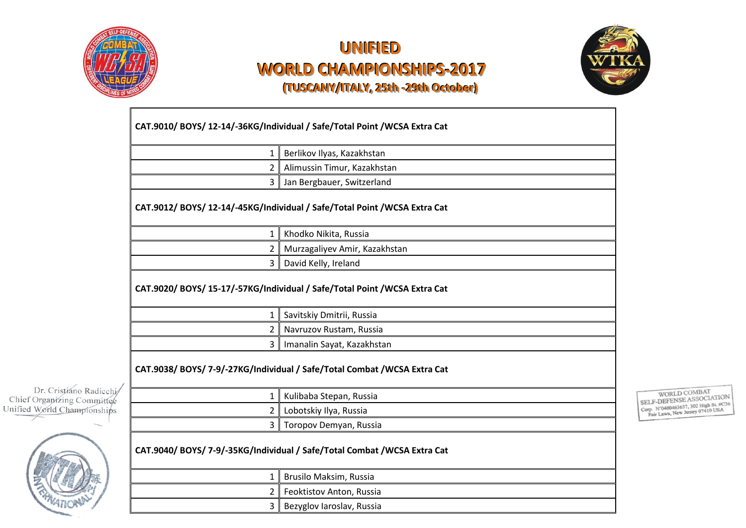



|                                                       |                                                                            | CAT.9010/ BOYS/ 12-14/-36KG/Individual / Safe/Total Point / WCSA Extra Cat |  |
|-------------------------------------------------------|----------------------------------------------------------------------------|----------------------------------------------------------------------------|--|
|                                                       | 1                                                                          | Berlikov Ilyas, Kazakhstan                                                 |  |
|                                                       |                                                                            | Alimussin Timur, Kazakhstan                                                |  |
|                                                       | $\overline{3}$                                                             | Jan Bergbauer, Switzerland                                                 |  |
|                                                       | CAT.9012/ BOYS/ 12-14/-45KG/Individual / Safe/Total Point / WCSA Extra Cat |                                                                            |  |
|                                                       | $\mathbf{1}$                                                               | Khodko Nikita, Russia                                                      |  |
|                                                       | 2                                                                          | Murzagaliyev Amir, Kazakhstan                                              |  |
|                                                       | 3                                                                          | David Kelly, Ireland                                                       |  |
|                                                       |                                                                            | CAT.9020/ BOYS/ 15-17/-57KG/Individual / Safe/Total Point / WCSA Extra Cat |  |
|                                                       | $\mathbf{1}$                                                               | Savitskiy Dmitrii, Russia                                                  |  |
|                                                       | $\overline{2}$                                                             | Navruzov Rustam, Russia                                                    |  |
|                                                       | $\overline{3}$                                                             | Imanalin Sayat, Kazakhstan                                                 |  |
|                                                       | CAT.9038/ BOYS/ 7-9/-27KG/Individual / Safe/Total Combat / WCSA Extra Cat  |                                                                            |  |
| Dr. Cristiáno Radicchi/<br>Chief Organizing Committee | $\mathbf{1}$                                                               | Kulibaba Stepan, Russia                                                    |  |
| Unified World Championships                           | $\mathbf{2}$                                                               | Lobotskiy Ilya, Russia                                                     |  |
|                                                       | $\overline{3}$                                                             | Toropov Demyan, Russia                                                     |  |
|                                                       | CAT.9040/ BOYS/ 7-9/-35KG/Individual / Safe/Total Combat / WCSA Extra Cat  |                                                                            |  |
|                                                       | $\mathbf{1}$                                                               | Brusilo Maksim, Russia                                                     |  |
|                                                       | 2 <sup>1</sup>                                                             | Feoktistov Anton, Russia                                                   |  |

3 Bezyglov Iaroslav, Russia

 $\begin{tabular}{c} \multicolumn{2}{l}{\text{WORLD COMBAT}}\\ \text{SELECT-DEFENSE ASSOCIATION}\\ \text{Comp. N'0400463637, 302 High St. \#C36}\\ \text{Pair Lawn, New Jersey 07410 USA} \end{tabular}$ 

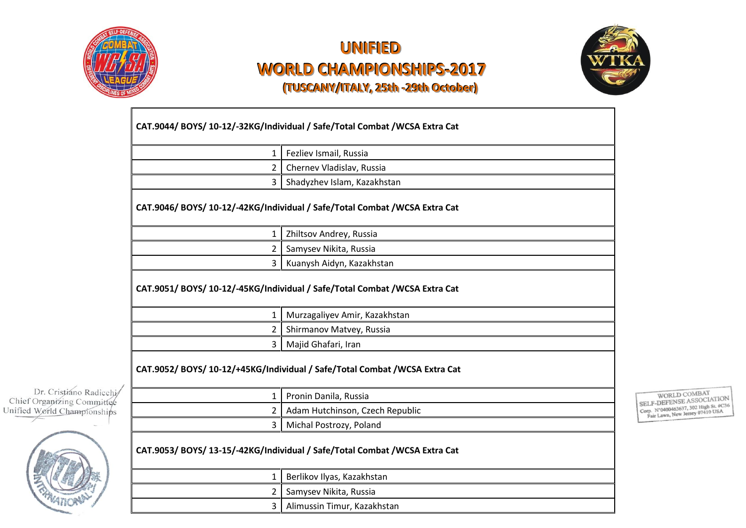



| Fezliev Ismail, Russia<br>$\mathbf{1}$                                                                        |
|---------------------------------------------------------------------------------------------------------------|
| Chernev Vladislav, Russia                                                                                     |
| 3<br>Shadyzhev Islam, Kazakhstan                                                                              |
| CAT.9046/ BOYS/ 10-12/-42KG/Individual / Safe/Total Combat / WCSA Extra Cat<br>Zhiltsov Andrey, Russia<br>1   |
| Samysev Nikita, Russia<br>2                                                                                   |
|                                                                                                               |
| Kuanysh Aidyn, Kazakhstan<br>3<br>CAT.9051/ BOYS/ 10-12/-45KG/Individual / Safe/Total Combat / WCSA Extra Cat |
| 1                                                                                                             |
| Murzagaliyev Amir, Kazakhstan<br>Shirmanov Matvey, Russia<br>2                                                |
| Majid Ghafari, Iran<br>3                                                                                      |
| CAT.9052/ BOYS/ 10-12/+45KG/Individual / Safe/Total Combat / WCSA Extra Cat                                   |
| Pronin Danila, Russia<br>1                                                                                    |
| Adam Hutchinson, Czech Republic<br>2                                                                          |

1 Berlikov Ilyas, Kazakhstan 2 Samysev Nikita, Russia

3 Alimussin Timur, Kazakhstan

WORLD COMBAT<br>SELF-DEFENSE ASSOCIATION SELF-DEFENSE ASSOCIATION

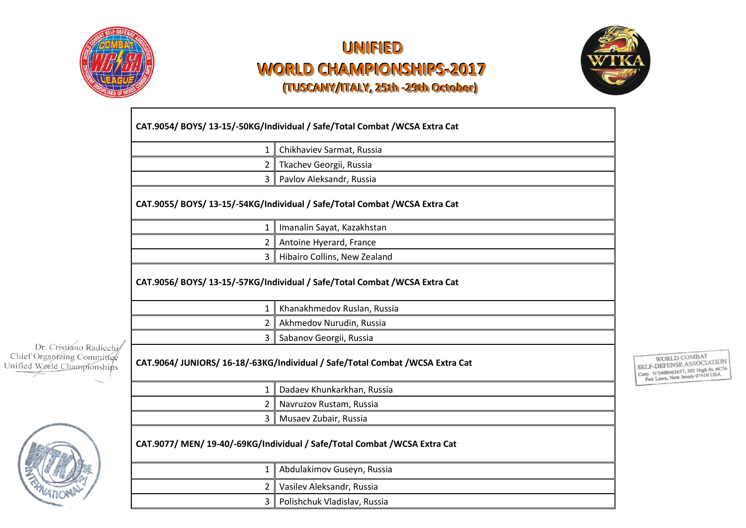



|                                                           | CAT.9054/ BOYS/ 13-15/-50KG/Individual / Safe/Total Combat / WCSA Extra Cat |                                                                               |  |
|-----------------------------------------------------------|-----------------------------------------------------------------------------|-------------------------------------------------------------------------------|--|
|                                                           | $\mathbf{1}$                                                                | Chikhaviev Sarmat, Russia                                                     |  |
|                                                           | 2                                                                           | Tkachev Georgii, Russia                                                       |  |
|                                                           | 3                                                                           | Pavlov Aleksandr, Russia                                                      |  |
|                                                           | CAT.9055/ BOYS/ 13-15/-54KG/Individual / Safe/Total Combat / WCSA Extra Cat |                                                                               |  |
|                                                           | 1                                                                           | Imanalin Sayat, Kazakhstan                                                    |  |
|                                                           | 2                                                                           | Antoine Hyerard, France                                                       |  |
|                                                           | 3                                                                           | Hibairo Collins, New Zealand                                                  |  |
|                                                           | CAT.9056/ BOYS/ 13-15/-57KG/Individual / Safe/Total Combat / WCSA Extra Cat |                                                                               |  |
|                                                           | 1                                                                           | Khanakhmedov Ruslan, Russia                                                   |  |
|                                                           | 2                                                                           | Akhmedov Nurudin, Russia                                                      |  |
| Dr. Cristiáno Radicchi/                                   | 3                                                                           | Sabanov Georgii, Russia                                                       |  |
| Chief Organizing Committee<br>Unified World Championships |                                                                             | CAT.9064/ JUNIORS/ 16-18/-63KG/Individual / Safe/Total Combat /WCSA Extra Cat |  |
|                                                           | $\mathbf{1}$                                                                | Dadaev Khunkarkhan, Russia                                                    |  |
|                                                           | 2                                                                           | Navruzov Rustam, Russia                                                       |  |
|                                                           | 3                                                                           | Musaev Zubair, Russia                                                         |  |
|                                                           | CAT.9077/ MEN/ 19-40/-69KG/Individual / Safe/Total Combat / WCSA Extra Cat  |                                                                               |  |
|                                                           | 1                                                                           | Abdulakimov Guseyn, Russia                                                    |  |
|                                                           | 2                                                                           | Vasilev Aleksandr, Russia                                                     |  |
|                                                           |                                                                             |                                                                               |  |

 $\begin{tabular}{c} \multicolumn{2}{l}{\textbf{WORD COMBAT}}\\ \textbf{SELF-DEFENSE ASSOCIAITION}\\ \textbf{Comp. N'0400463637, 302 High St. #C36}\\ \textbf{Cap. N'0400463637, 302 High St. #C36}\\ \textbf{Far Lawn, New Jersey 07410 USA} \end{tabular}$